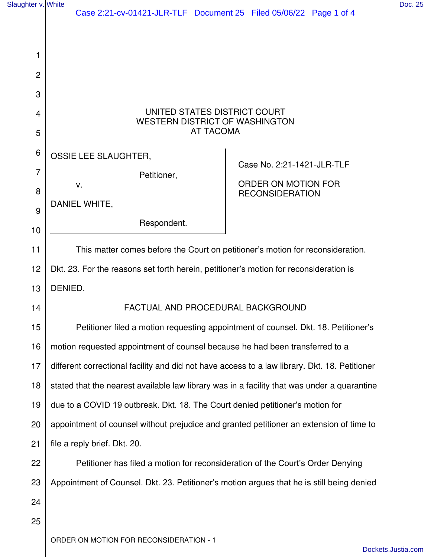| Slaughter v. White                          | Case 2:21-cv-01421-JLR-TLF  Document 25  Filed 05/06/22  Page 1 of 4                                                                                                                                        |                                                                             | Doc. 25 |
|---------------------------------------------|-------------------------------------------------------------------------------------------------------------------------------------------------------------------------------------------------------------|-----------------------------------------------------------------------------|---------|
| 1<br>2<br>3                                 |                                                                                                                                                                                                             |                                                                             |         |
| 4<br>5                                      | UNITED STATES DISTRICT COURT<br><b>WESTERN DISTRICT OF WASHINGTON</b><br><b>AT TACOMA</b>                                                                                                                   |                                                                             |         |
| $6\phantom{1}6$<br>$\overline{7}$<br>8<br>9 | OSSIE LEE SLAUGHTER,<br>Petitioner,<br>V.<br>DANIEL WHITE,<br>Respondent.                                                                                                                                   | Case No. 2:21-1421-JLR-TLF<br>ORDER ON MOTION FOR<br><b>RECONSIDERATION</b> |         |
| 10<br>11<br>12                              | This matter comes before the Court on petitioner's motion for reconsideration.<br>Dkt. 23. For the reasons set forth herein, petitioner's motion for reconsideration is                                     |                                                                             |         |
| 13<br>14                                    | DENIED.<br>FACTUAL AND PROCEDURAL BACKGROUND                                                                                                                                                                |                                                                             |         |
| 15<br>16                                    | Petitioner filed a motion requesting appointment of counsel. Dkt. 18. Petitioner's<br>motion requested appointment of counsel because he had been transferred to a                                          |                                                                             |         |
| 17<br>18                                    | different correctional facility and did not have access to a law library. Dkt. 18. Petitioner<br>stated that the nearest available law library was in a facility that was under a quarantine                |                                                                             |         |
| 19<br>20                                    | due to a COVID 19 outbreak. Dkt. 18. The Court denied petitioner's motion for<br>appointment of counsel without prejudice and granted petitioner an extension of time to                                    |                                                                             |         |
| 21<br>22                                    | file a reply brief. Dkt. 20.<br>Petitioner has filed a motion for reconsideration of the Court's Order Denying<br>Appointment of Counsel. Dkt. 23. Petitioner's motion argues that he is still being denied |                                                                             |         |
| 23<br>24<br>25                              |                                                                                                                                                                                                             |                                                                             |         |
|                                             | ORDER ON MOTION FOR RECONSIDERATION - 1                                                                                                                                                                     |                                                                             |         |

[Dockets.Justia.com](https://dockets.justia.com/)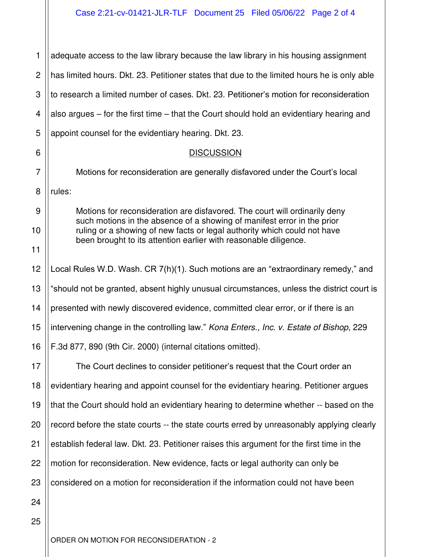## Case 2:21-cv-01421-JLR-TLF Document 25 Filed 05/06/22 Page 2 of 4

| 1              | adequate access to the law library because the law library in his housing assignment                                                                                                                                    |
|----------------|-------------------------------------------------------------------------------------------------------------------------------------------------------------------------------------------------------------------------|
| $\mathbf{2}$   | has limited hours. Dkt. 23. Petitioner states that due to the limited hours he is only able                                                                                                                             |
| 3              | to research a limited number of cases. Dkt. 23. Petitioner's motion for reconsideration                                                                                                                                 |
| 4              | also argues $-$ for the first time $-$ that the Court should hold an evidentiary hearing and                                                                                                                            |
| 5              | appoint counsel for the evidentiary hearing. Dkt. 23.                                                                                                                                                                   |
| 6              | <b>DISCUSSION</b>                                                                                                                                                                                                       |
| $\overline{7}$ | Motions for reconsideration are generally disfavored under the Court's local                                                                                                                                            |
| 8              | rules:                                                                                                                                                                                                                  |
| 9              | Motions for reconsideration are disfavored. The court will ordinarily deny                                                                                                                                              |
| 10             | such motions in the absence of a showing of manifest error in the prior<br>ruling or a showing of new facts or legal authority which could not have<br>been brought to its attention earlier with reasonable diligence. |
| 11             |                                                                                                                                                                                                                         |
| 12             | Local Rules W.D. Wash. CR 7(h)(1). Such motions are an "extraordinary remedy," and                                                                                                                                      |
| 13             | "should not be granted, absent highly unusual circumstances, unless the district court is                                                                                                                               |
| 14             | presented with newly discovered evidence, committed clear error, or if there is an                                                                                                                                      |
| 15             | intervening change in the controlling law." Kona Enters., Inc. v. Estate of Bishop, 229                                                                                                                                 |
| 16             | F.3d 877, 890 (9th Cir. 2000) (internal citations omitted).                                                                                                                                                             |
| 17             | The Court declines to consider petitioner's request that the Court order an                                                                                                                                             |
| 18             | evidentiary hearing and appoint counsel for the evidentiary hearing. Petitioner argues                                                                                                                                  |
| 19             | that the Court should hold an evidentiary hearing to determine whether -- based on the                                                                                                                                  |
| 20             | record before the state courts -- the state courts erred by unreasonably applying clearly                                                                                                                               |
| 21             | establish federal law. Dkt. 23. Petitioner raises this argument for the first time in the                                                                                                                               |
| 22             | motion for reconsideration. New evidence, facts or legal authority can only be                                                                                                                                          |
| 23             | considered on a motion for reconsideration if the information could not have been                                                                                                                                       |
| 24             |                                                                                                                                                                                                                         |
| 25             |                                                                                                                                                                                                                         |
|                |                                                                                                                                                                                                                         |

ORDER ON MOTION FOR RECONSIDERATION - 2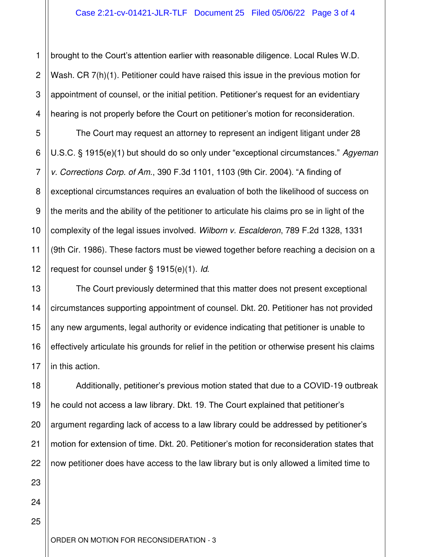1 2 3 4 brought to the Court's attention earlier with reasonable diligence. Local Rules W.D. Wash. CR 7(h)(1). Petitioner could have raised this issue in the previous motion for appointment of counsel, or the initial petition. Petitioner's request for an evidentiary hearing is not properly before the Court on petitioner's motion for reconsideration.

5 6 7 8 9 10 11 12 The Court may request an attorney to represent an indigent litigant under 28 U.S.C. § 1915(e)(1) but should do so only under "exceptional circumstances." Agyeman v. Corrections Corp. of Am., 390 F.3d 1101, 1103 (9th Cir. 2004). "A finding of exceptional circumstances requires an evaluation of both the likelihood of success on the merits and the ability of the petitioner to articulate his claims pro se in light of the complexity of the legal issues involved. Wilborn v. Escalderon, 789 F.2d 1328, 1331 (9th Cir. 1986). These factors must be viewed together before reaching a decision on a request for counsel under § 1915(e)(1). Id.

16 The Court previously determined that this matter does not present exceptional circumstances supporting appointment of counsel. Dkt. 20. Petitioner has not provided any new arguments, legal authority or evidence indicating that petitioner is unable to effectively articulate his grounds for relief in the petition or otherwise present his claims in this action.

18 19 Additionally, petitioner's previous motion stated that due to a COVID-19 outbreak he could not access a law library. Dkt. 19. The Court explained that petitioner's argument regarding lack of access to a law library could be addressed by petitioner's motion for extension of time. Dkt. 20. Petitioner's motion for reconsideration states that now petitioner does have access to the law library but is only allowed a limited time to

25

13

14

15

17